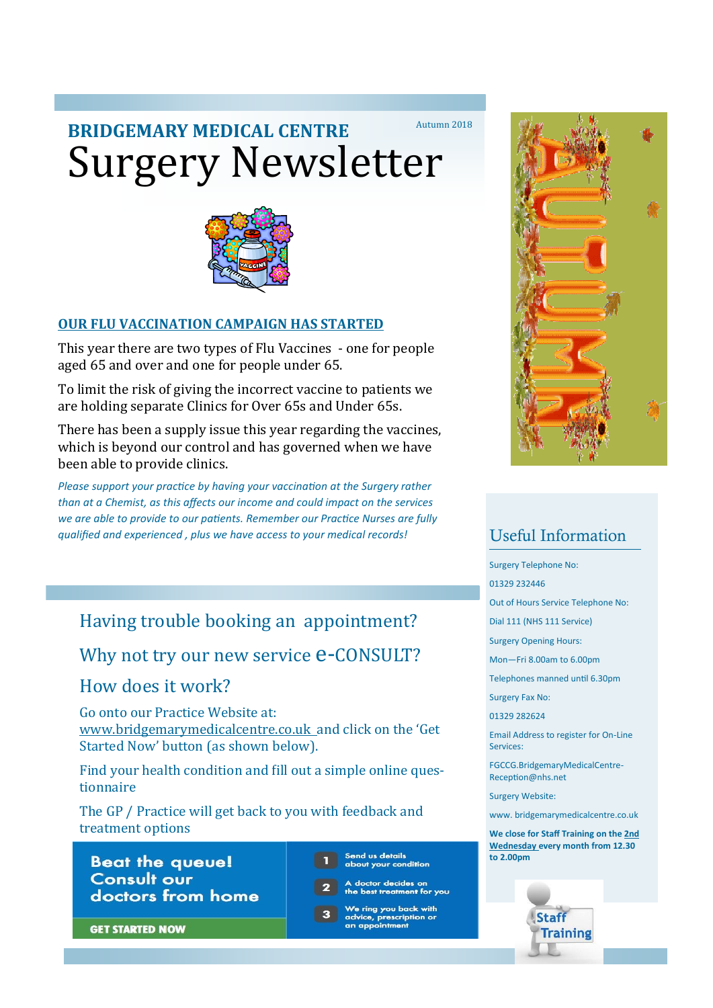## Surgery Newsletter **BRIDGEMARY MEDICAL CENTRE** Autumn 2018



### **OUR FLU VACCINATION CAMPAIGN HAS STARTED**

This year there are two types of Flu Vaccines - one for people aged 65 and over and one for people under 65.

To limit the risk of giving the incorrect vaccine to patients we are holding separate Clinics for Over 65s and Under 65s.

There has been a supply issue this year regarding the vaccines, which is beyond our control and has governed when we have been able to provide clinics.

*Please support your practice by having your vaccination at the Surgery rather than at a Chemist, as this affects our income and could impact on the services we are able to provide to our patients. Remember our Practice Nurses are fully qualified and experienced , plus we have access to your medical records!*

## Having trouble booking an appointment?

Why not try our new service  $e$ -CONSULT?

How does it work?

Go onto our Practice Website at: www.bridgemarymedicalcentre.co.uk and click on the 'Get Started Now' button (as shown below).

Find your health condition and fill out a simple online questionnaire

The GP / Practice will get back to you with feedback and treatment options

**Beat the queue! Consult our** doctors from home Send us detail<mark>s</mark><br>about your condition

- ، doctor decides on<br>he best treatment for you
- We ring you back with e, prescript an appointment



## Useful Information

Surgery Telephone No:

01329 232446

Out of Hours Service Telephone No:

Dial 111 (NHS 111 Service)

Surgery Opening Hours:

Mon—Fri 8.00am to 6.00pm

Telephones manned until 6.30pm

Surgery Fax No:

01329 282624

Email Address to register for On-Line Services:

FGCCG.BridgemaryMedicalCentre-Reception@nhs.net

Surgery Website:

www. bridgemarymedicalcentre.co.uk

**We close for Staff Training on the 2nd Wednesday every month from 12.30 to 2.00pm**



**GET STARTED NOW**